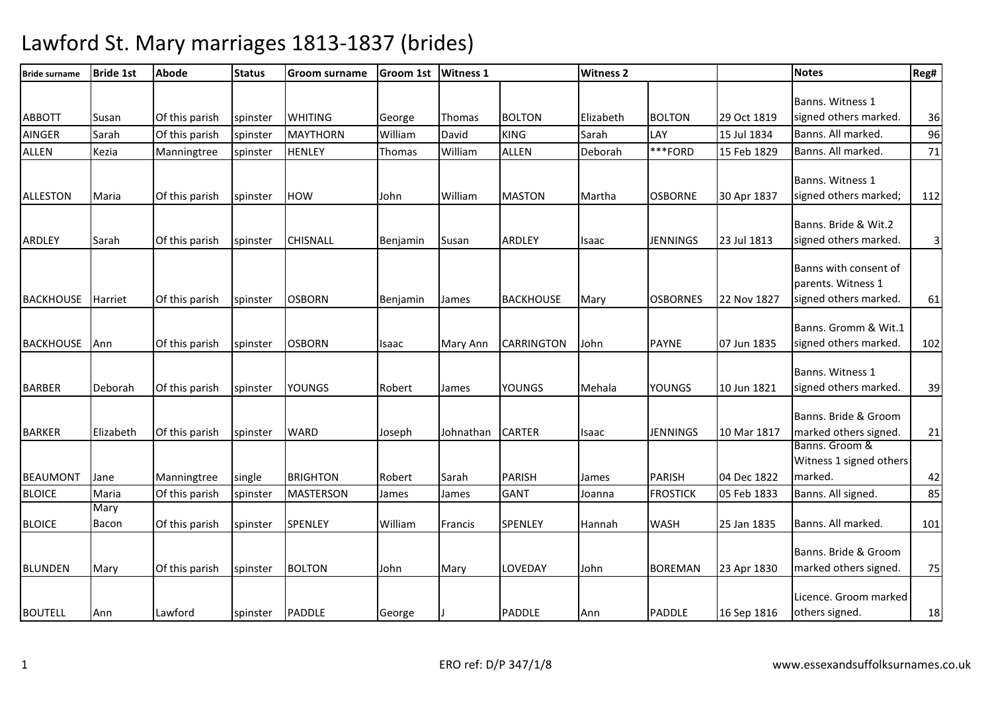| <b>Bride surname</b> | <b>Bride 1st</b> | Abode          | <b>Status</b> | <b>Groom surname</b> | <b>Groom 1st</b> | <b>Witness 1</b> |                   | <b>Witness 2</b> |                 |             | <b>Notes</b>                                                         | Reg# |
|----------------------|------------------|----------------|---------------|----------------------|------------------|------------------|-------------------|------------------|-----------------|-------------|----------------------------------------------------------------------|------|
| <b>ABBOTT</b>        | Susan            | Of this parish | spinster      | <b>WHITING</b>       | George           | Thomas           | <b>BOLTON</b>     | Elizabeth        | <b>BOLTON</b>   | 29 Oct 1819 | Banns. Witness 1<br>signed others marked.                            | 36   |
| <b>AINGER</b>        | Sarah            | Of this parish | spinster      | <b>MAYTHORN</b>      | William          | David            | <b>KING</b>       | Sarah            | LAY             | 15 Jul 1834 | Banns. All marked.                                                   | 96   |
| <b>ALLEN</b>         | Kezia            | Manningtree    | spinster      | <b>HENLEY</b>        | Thomas           | William          | <b>ALLEN</b>      | Deborah          | ***FORD         | 15 Feb 1829 | Banns. All marked.                                                   | 71   |
| <b>ALLESTON</b>      | Maria            | Of this parish | spinster      | <b>HOW</b>           | John             | William          | <b>MASTON</b>     | Martha           | <b>OSBORNE</b>  | 30 Apr 1837 | Banns. Witness 1<br>signed others marked;                            | 112  |
| <b>ARDLEY</b>        | Sarah            | Of this parish | spinster      | <b>CHISNALL</b>      | Benjamin         | Susan            | <b>ARDLEY</b>     | Isaac            | <b>JENNINGS</b> | 23 Jul 1813 | Banns. Bride & Wit.2<br>signed others marked.                        | 3    |
| <b>BACKHOUSE</b>     | <b>Harriet</b>   | Of this parish | spinster      | <b>OSBORN</b>        | Benjamin         | James            | <b>BACKHOUSE</b>  | Mary             | <b>OSBORNES</b> | 22 Nov 1827 | Banns with consent of<br>parents. Witness 1<br>signed others marked. | 61   |
| <b>BACKHOUSE</b>     | Ann              | Of this parish | spinster      | <b>OSBORN</b>        | <b>Isaac</b>     | Mary Ann         | <b>CARRINGTON</b> | John             | <b>PAYNE</b>    | 07 Jun 1835 | Banns. Gromm & Wit.1<br>signed others marked.                        | 102  |
| <b>BARBER</b>        | Deborah          | Of this parish | spinster      | <b>YOUNGS</b>        | Robert           | James            | <b>YOUNGS</b>     | Mehala           | <b>YOUNGS</b>   | 10 Jun 1821 | Banns. Witness 1<br>signed others marked.                            | 39   |
| <b>BARKER</b>        | Elizabeth        | Of this parish | spinster      | <b>WARD</b>          | Joseph           | Johnathan        | <b>CARTER</b>     | Isaac            | <b>JENNINGS</b> | 10 Mar 1817 | Banns. Bride & Groom<br>marked others signed.<br>Banns, Groom &      | 21   |
| <b>BEAUMONT</b>      | Jane             | Manningtree    | single        | <b>BRIGHTON</b>      | Robert           | Sarah            | <b>PARISH</b>     | James            | <b>PARISH</b>   | 04 Dec 1822 | Witness 1 signed others<br>marked.                                   | 42   |
| <b>BLOICE</b>        | Maria            | Of this parish | spinster      | <b>MASTERSON</b>     | James            | James            | <b>GANT</b>       | Joanna           | <b>FROSTICK</b> | 05 Feb 1833 | Banns. All signed.                                                   | 85   |
| <b>BLOICE</b>        | Mary<br>Bacon    | Of this parish | spinster      | SPENLEY              | William          | Francis          | SPENLEY           | Hannah           | <b>WASH</b>     | 25 Jan 1835 | Banns. All marked.                                                   | 101  |
| <b>BLUNDEN</b>       | Mary             | Of this parish | spinster      | <b>BOLTON</b>        | John             | Mary             | LOVEDAY           | John             | <b>BOREMAN</b>  | 23 Apr 1830 | Banns. Bride & Groom<br>marked others signed.                        | 75   |
| <b>BOUTELL</b>       | Ann              | Lawford        | spinster      | <b>PADDLE</b>        | George           |                  | <b>PADDLE</b>     | Ann              | <b>PADDLE</b>   | 16 Sep 1816 | Licence. Groom marked<br>others signed.                              | 18   |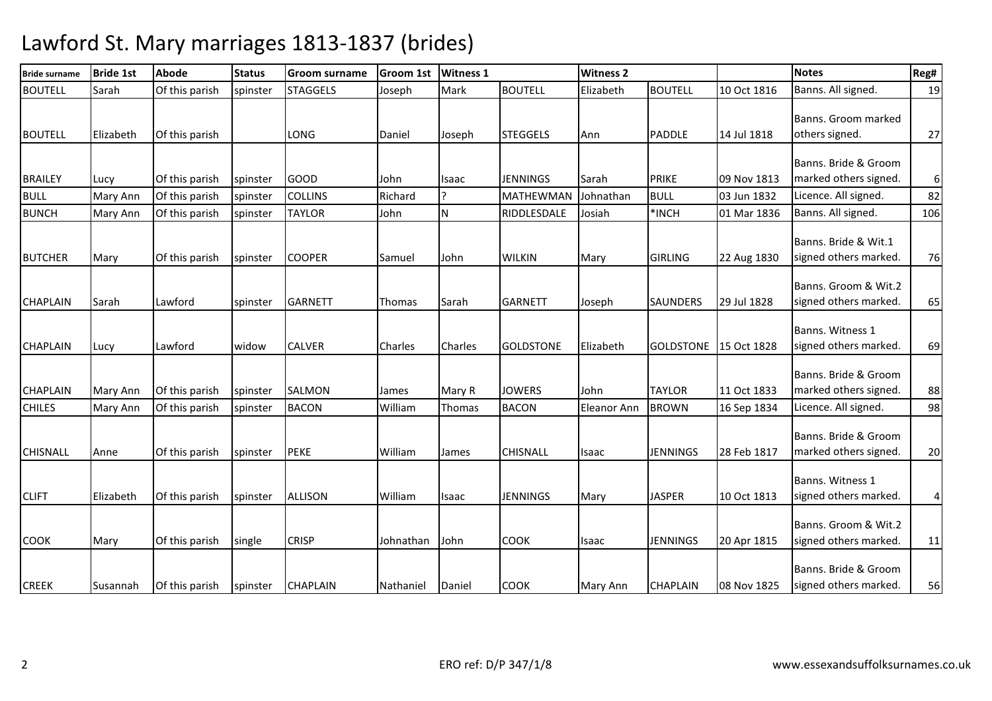| <b>Bride surname</b> | <b>Bride 1st</b> | <b>Abode</b>   | <b>Status</b> | <b>Groom surname</b> | Groom 1st      | <b>Witness 1</b> |                  | <b>Witness 2</b>   |                  |             | <b>Notes</b>                                  | Reg# |
|----------------------|------------------|----------------|---------------|----------------------|----------------|------------------|------------------|--------------------|------------------|-------------|-----------------------------------------------|------|
| <b>BOUTELL</b>       | Sarah            | Of this parish | spinster      | <b>STAGGELS</b>      | Joseph         | Mark             | <b>BOUTELL</b>   | Elizabeth          | <b>BOUTELL</b>   | 10 Oct 1816 | Banns. All signed.                            | 19   |
| <b>BOUTELL</b>       | Elizabeth        | Of this parish |               | LONG                 | Daniel         | Joseph           | <b>STEGGELS</b>  | Ann                | <b>PADDLE</b>    | 14 Jul 1818 | Banns. Groom marked<br>others signed.         | 27   |
| <b>BRAILEY</b>       | Lucy             | Of this parish | spinster      | <b>GOOD</b>          | John           | <b>Isaac</b>     | <b>JENNINGS</b>  | Sarah              | <b>PRIKE</b>     | 09 Nov 1813 | Banns. Bride & Groom<br>marked others signed. | 6    |
| <b>BULL</b>          | <b>Mary Ann</b>  | Of this parish | spinster      | <b>COLLINS</b>       | Richard        |                  | <b>MATHEWMAN</b> | Johnathan          | <b>BULL</b>      | 03 Jun 1832 | Licence. All signed.                          | 82   |
| <b>BUNCH</b>         | Mary Ann         | Of this parish | spinster      | <b>TAYLOR</b>        | John           | N                | RIDDLESDALE      | Josiah             | *INCH            | 01 Mar 1836 | Banns. All signed.                            | 106  |
| <b>BUTCHER</b>       | Mary             | Of this parish | spinster      | <b>COOPER</b>        | Samuel         | John             | <b>WILKIN</b>    | Mary               | <b>GIRLING</b>   | 22 Aug 1830 | Banns. Bride & Wit.1<br>signed others marked. | 76   |
| <b>CHAPLAIN</b>      | Sarah            | Lawford        | spinster      | <b>GARNETT</b>       | Thomas         | Sarah            | <b>GARNETT</b>   | Joseph             | <b>SAUNDERS</b>  | 29 Jul 1828 | Banns. Groom & Wit.2<br>signed others marked. | 65   |
| <b>CHAPLAIN</b>      | Lucy             | Lawford        | widow         | <b>CALVER</b>        | <b>Charles</b> | <b>Charles</b>   | <b>GOLDSTONE</b> | Elizabeth          | <b>GOLDSTONE</b> | 15 Oct 1828 | Banns. Witness 1<br>signed others marked.     | 69   |
| <b>CHAPLAIN</b>      | Mary Ann         | Of this parish | spinster      | <b>SALMON</b>        | James          | Mary R           | <b>JOWERS</b>    | John               | <b>TAYLOR</b>    | 11 Oct 1833 | Banns. Bride & Groom<br>marked others signed. | 88   |
| <b>CHILES</b>        | <b>Mary Ann</b>  | Of this parish | spinster      | <b>BACON</b>         | William        | Thomas           | <b>BACON</b>     | <b>Eleanor Ann</b> | <b>BROWN</b>     | 16 Sep 1834 | Licence. All signed.                          | 98   |
| <b>CHISNALL</b>      | Anne             | Of this parish | spinster      | <b>PEKE</b>          | William        | James            | <b>CHISNALL</b>  | Isaac              | <b>JENNINGS</b>  | 28 Feb 1817 | Banns. Bride & Groom<br>marked others signed. | 20   |
| <b>CLIFT</b>         | Elizabeth        | Of this parish | spinster      | <b>ALLISON</b>       | William        | <b>Isaac</b>     | <b>JENNINGS</b>  | Mary               | <b>JASPER</b>    | 10 Oct 1813 | Banns. Witness 1<br>signed others marked.     | 4    |
| <b>COOK</b>          | Mary             | Of this parish | single        | <b>CRISP</b>         | Johnathan      | John             | <b>COOK</b>      | Isaac              | <b>JENNINGS</b>  | 20 Apr 1815 | Banns. Groom & Wit.2<br>signed others marked. | 11   |
| <b>CREEK</b>         | Susannah         | Of this parish | spinster      | <b>CHAPLAIN</b>      | Nathaniel      | Daniel           | <b>COOK</b>      | Mary Ann           | <b>CHAPLAIN</b>  | 08 Nov 1825 | Banns. Bride & Groom<br>signed others marked. | 56   |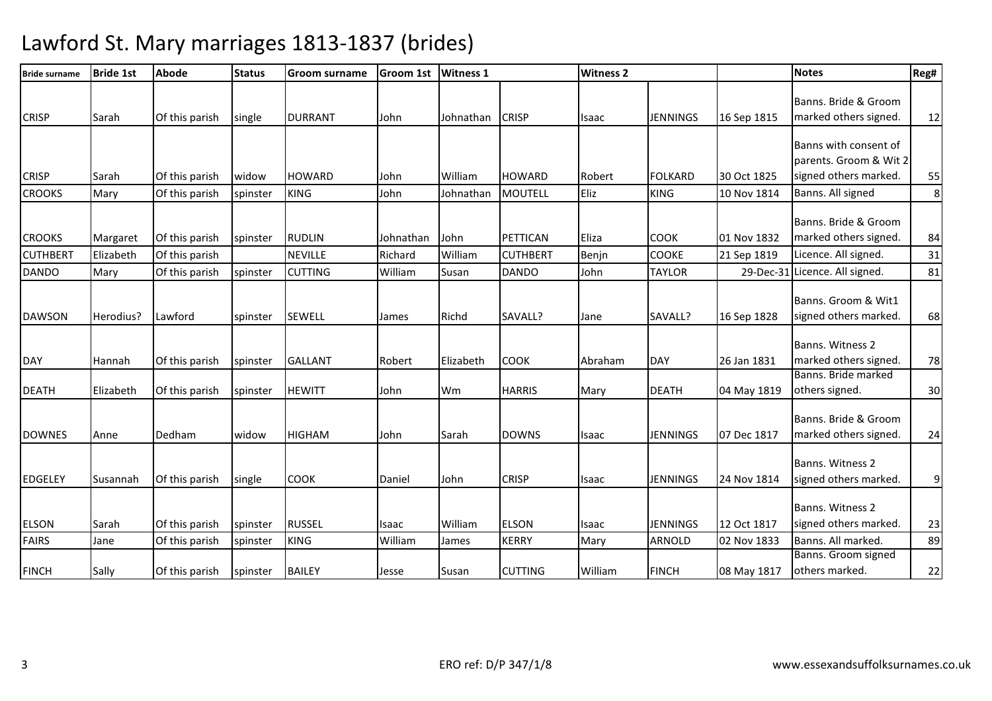| <b>Bride surname</b> | <b>Bride 1st</b> | <b>Abode</b>   | <b>Status</b> | <b>Groom surname</b> | <b>Groom 1st</b> | <b>Witness 1</b> |                 | <b>Witness 2</b> |                 |             | <b>Notes</b>                                    | Reg#    |
|----------------------|------------------|----------------|---------------|----------------------|------------------|------------------|-----------------|------------------|-----------------|-------------|-------------------------------------------------|---------|
| <b>CRISP</b>         | Sarah            | Of this parish | single        | <b>DURRANT</b>       | John             | Johnathan        | <b>CRISP</b>    | Isaac            | <b>JENNINGS</b> | 16 Sep 1815 | Banns. Bride & Groom<br>marked others signed.   | 12      |
|                      |                  |                |               |                      |                  |                  |                 |                  |                 |             | Banns with consent of<br>parents. Groom & Wit 2 |         |
| <b>CRISP</b>         | Sarah            | Of this parish | widow         | <b>HOWARD</b>        | John             | William          | <b>HOWARD</b>   | Robert           | <b>FOLKARD</b>  | 30 Oct 1825 | signed others marked.                           | 55      |
| <b>CROOKS</b>        | Mary             | Of this parish | spinster      | <b>KING</b>          | John             | Johnathan        | <b>MOUTELL</b>  | Eliz             | <b>KING</b>     | 10 Nov 1814 | Banns. All signed                               | $\bf 8$ |
| <b>CROOKS</b>        | Margaret         | Of this parish | spinster      | <b>RUDLIN</b>        | Johnathan        | John             | PETTICAN        | Eliza            | <b>COOK</b>     | 01 Nov 1832 | Banns. Bride & Groom<br>marked others signed.   | 84      |
| <b>CUTHBERT</b>      | Elizabeth        | Of this parish |               | <b>NEVILLE</b>       | Richard          | William          | <b>CUTHBERT</b> | Benjn            | <b>COOKE</b>    | 21 Sep 1819 | Licence. All signed.                            | 31      |
| <b>DANDO</b>         | Mary             | Of this parish | spinster      | <b>CUTTING</b>       | William          | Susan            | <b>DANDO</b>    | John             | <b>TAYLOR</b>   |             | 29-Dec-31 Licence. All signed.                  | 81      |
| <b>DAWSON</b>        | Herodius?        | Lawford        | spinster      | <b>SEWELL</b>        | James            | Richd            | SAVALL?         | Jane             | SAVALL?         | 16 Sep 1828 | Banns. Groom & Wit1<br>signed others marked.    | 68      |
| <b>DAY</b>           | Hannah           | Of this parish | spinster      | <b>GALLANT</b>       | Robert           | Elizabeth        | <b>COOK</b>     | Abraham          | <b>DAY</b>      | 26 Jan 1831 | Banns. Witness 2<br>marked others signed.       | 78      |
| <b>DEATH</b>         | Elizabeth        | Of this parish | spinster      | <b>HEWITT</b>        | John             | Wm               | <b>HARRIS</b>   | Mary             | <b>DEATH</b>    | 04 May 1819 | Banns. Bride marked<br>others signed.           | 30      |
| <b>DOWNES</b>        | Anne             | Dedham         | widow         | <b>HIGHAM</b>        | John             | Sarah            | <b>DOWNS</b>    | Isaac            | <b>JENNINGS</b> | 07 Dec 1817 | Banns. Bride & Groom<br>marked others signed.   | 24      |
| <b>EDGELEY</b>       | Susannah         | Of this parish | single        | <b>COOK</b>          | Daniel           | John             | <b>CRISP</b>    | Isaac            | <b>JENNINGS</b> | 24 Nov 1814 | Banns. Witness 2<br>signed others marked.       | 9       |
| <b>ELSON</b>         | Sarah            | Of this parish | spinster      | <b>RUSSEL</b>        | Isaac            | William          | <b>ELSON</b>    | Isaac            | <b>JENNINGS</b> | 12 Oct 1817 | Banns. Witness 2<br>signed others marked.       | 23      |
| <b>FAIRS</b>         | Jane             | Of this parish | spinster      | <b>KING</b>          | William          | James            | <b>KERRY</b>    | Mary             | ARNOLD          | 02 Nov 1833 | Banns. All marked.                              | 89      |
| FINCH                | Sally            | Of this parish | spinster      | <b>BAILEY</b>        | Jesse            | Susan            | <b>CUTTING</b>  | William          | <b>FINCH</b>    | 08 May 1817 | Banns. Groom signed<br>others marked.           | 22      |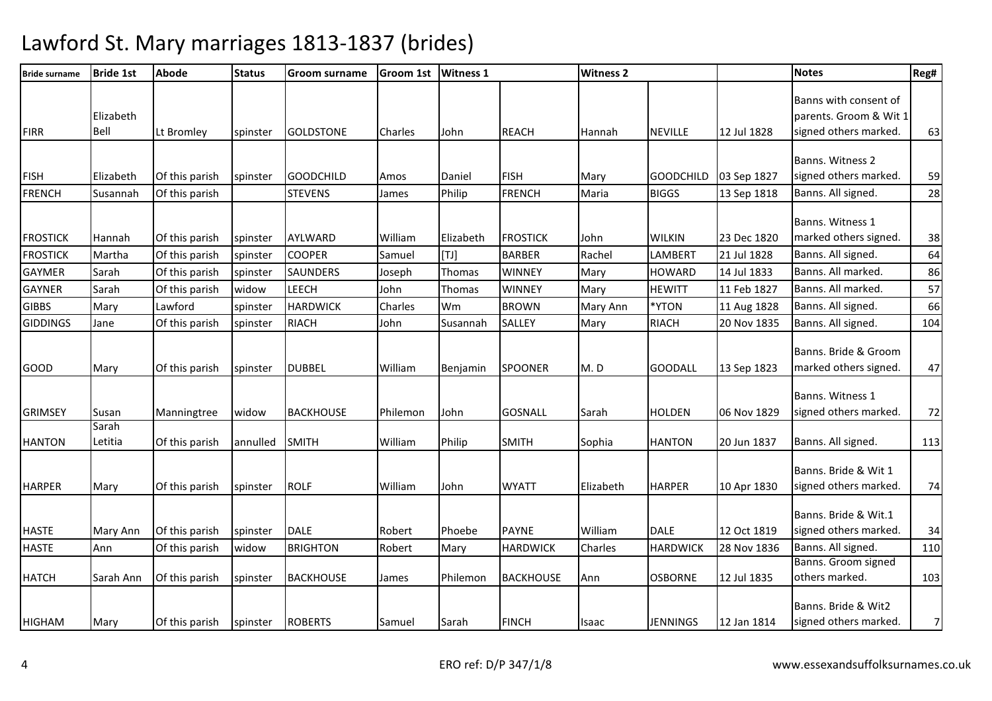| <b>Bride surname</b>               | <b>Bride 1st</b>  | <b>Abode</b>                     | <b>Status</b>        | <b>Groom surname</b>     | <b>Groom 1st</b>  | <b>Witness 1</b>  |                                  | <b>Witness 2</b> |                          |                            | <b>Notes</b>                                                             | Reg#     |
|------------------------------------|-------------------|----------------------------------|----------------------|--------------------------|-------------------|-------------------|----------------------------------|------------------|--------------------------|----------------------------|--------------------------------------------------------------------------|----------|
| <b>FIRR</b>                        | Elizabeth<br>Bell | Lt Bromley                       | spinster             | <b>GOLDSTONE</b>         | Charles           | John              | <b>REACH</b>                     | Hannah           | <b>NEVILLE</b>           | 12 Jul 1828                | Banns with consent of<br>parents. Groom & Wit 1<br>signed others marked. | 63       |
| <b>FISH</b>                        | Elizabeth         | Of this parish                   | spinster             | <b>GOODCHILD</b>         | Amos              | Daniel            | <b>FISH</b>                      | Mary             | <b>GOODCHILD</b>         | 03 Sep 1827                | Banns. Witness 2<br>signed others marked.                                | 59       |
| <b>FRENCH</b>                      | Susannah          | Of this parish                   |                      | <b>STEVENS</b>           | James             | Philip            | <b>FRENCH</b>                    | Maria            | <b>BIGGS</b>             | 13 Sep 1818                | Banns. All signed.                                                       | 28       |
| <b>FROSTICK</b><br><b>FROSTICK</b> | Hannah<br>Martha  | Of this parish<br>Of this parish | spinster<br>spinster | AYLWARD<br><b>COOPER</b> | William<br>Samuel | Elizabeth<br>[T1] | <b>FROSTICK</b><br><b>BARBER</b> | John<br>Rachel   | <b>WILKIN</b><br>LAMBERT | 23 Dec 1820<br>21 Jul 1828 | Banns. Witness 1<br>marked others signed.<br>Banns. All signed.          | 38<br>64 |
| <b>GAYMER</b>                      | Sarah             | Of this parish                   |                      | <b>SAUNDERS</b>          |                   | Thomas            | <b>WINNEY</b>                    | Mary             | <b>HOWARD</b>            | 14 Jul 1833                | Banns. All marked.                                                       | 86       |
| <b>GAYNER</b>                      | Sarah             | Of this parish                   | spinster<br>widow    | <b>LEECH</b>             | Joseph<br>John    | Thomas            | <b>WINNEY</b>                    | Mary             | <b>HEWITT</b>            | 11 Feb 1827                | Banns. All marked.                                                       | 57       |
| <b>GIBBS</b>                       | Mary              | Lawford                          |                      | <b>HARDWICK</b>          | Charles           | Wm                | <b>BROWN</b>                     | Mary Ann         | *YTON                    | 11 Aug 1828                | Banns. All signed.                                                       | 66       |
|                                    |                   | Of this parish                   | spinster             | <b>RIACH</b>             |                   |                   | SALLEY                           |                  | <b>RIACH</b>             | 20 Nov 1835                | Banns. All signed.                                                       | 104      |
| <b>GIDDINGS</b>                    | Jane              |                                  | spinster             |                          | John              | Susannah          |                                  | Mary             |                          |                            |                                                                          |          |
| <b>GOOD</b>                        | Mary              | Of this parish                   | spinster             | <b>DUBBEL</b>            | William           | Benjamin          | <b>SPOONER</b>                   | M.D              | <b>GOODALL</b>           | 13 Sep 1823                | Banns. Bride & Groom<br>marked others signed.                            | 47       |
| <b>GRIMSEY</b>                     | Susan             | Manningtree                      | widow                | <b>BACKHOUSE</b>         | Philemon          | John              | <b>GOSNALL</b>                   | Sarah            | <b>HOLDEN</b>            | 06 Nov 1829                | Banns. Witness 1<br>signed others marked.                                | 72       |
| <b>HANTON</b>                      | Sarah<br>Letitia  | Of this parish                   | annulled             | <b>SMITH</b>             | William           | Philip            | <b>SMITH</b>                     | Sophia           | <b>HANTON</b>            | 20 Jun 1837                | Banns. All signed.                                                       | 113      |
| <b>HARPER</b>                      | Mary              | Of this parish                   | spinster             | <b>ROLF</b>              | William           | John              | <b>WYATT</b>                     | Elizabeth        | <b>HARPER</b>            | 10 Apr 1830                | Banns. Bride & Wit 1<br>signed others marked.                            | 74       |
| <b>HASTE</b>                       | Mary Ann          | Of this parish                   | spinster             | <b>DALE</b>              | Robert            | Phoebe            | <b>PAYNE</b>                     | William          | <b>DALE</b>              | 12 Oct 1819                | Banns. Bride & Wit.1<br>signed others marked.                            | 34       |
| <b>HASTE</b>                       | Ann               | Of this parish                   | widow                | <b>BRIGHTON</b>          | Robert            | Mary              | <b>HARDWICK</b>                  | Charles          | <b>HARDWICK</b>          | 28 Nov 1836                | Banns. All signed.                                                       | 110      |
| <b>HATCH</b>                       | Sarah Ann         | Of this parish                   | spinster             | <b>BACKHOUSE</b>         | James             | Philemon          | <b>BACKHOUSE</b>                 | Ann              | <b>OSBORNE</b>           | 12 Jul 1835                | Banns. Groom signed<br>others marked.                                    | 103      |
| <b>HIGHAM</b>                      | Mary              | Of this parish                   | spinster             | <b>ROBERTS</b>           | Samuel            | Sarah             | <b>FINCH</b>                     | Isaac            | <b>JENNINGS</b>          | 12 Jan 1814                | Banns. Bride & Wit2<br>signed others marked.                             | 7        |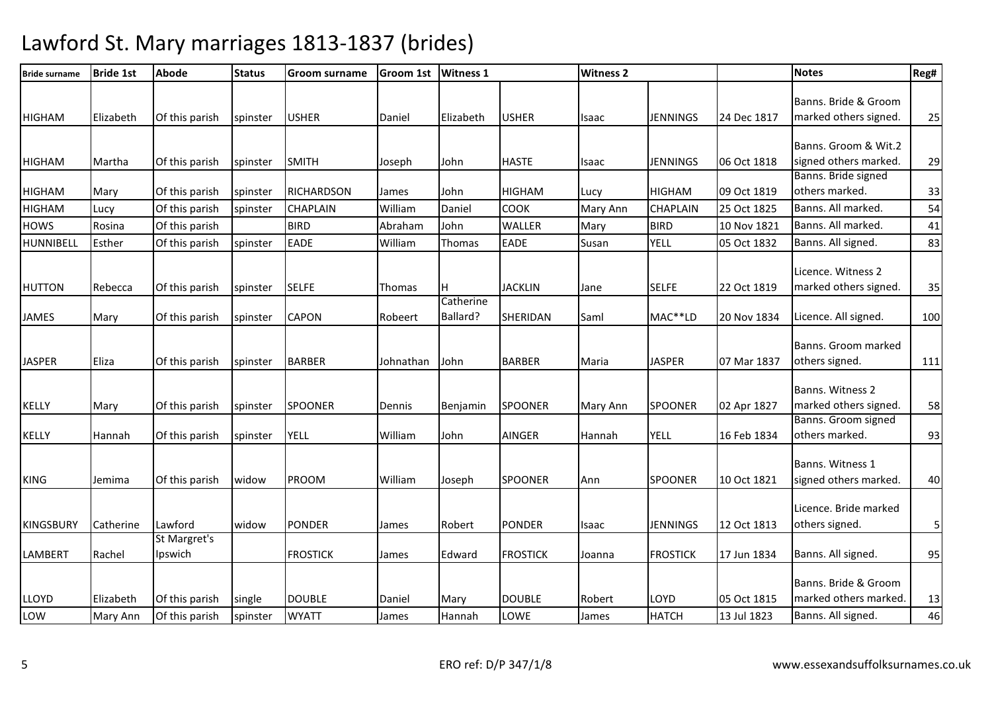| <b>Bride surname</b> | <b>Bride 1st</b> | <b>Abode</b>            | <b>Status</b> | <b>Groom surname</b> | <b>Groom 1st</b> | <b>Witness 1</b>      |                 | <b>Witness 2</b> |                 |             | <b>Notes</b>                                  | Reg#   |
|----------------------|------------------|-------------------------|---------------|----------------------|------------------|-----------------------|-----------------|------------------|-----------------|-------------|-----------------------------------------------|--------|
| <b>HIGHAM</b>        | Elizabeth        | Of this parish          | spinster      | <b>USHER</b>         | Daniel           | Elizabeth             | <b>USHER</b>    | Isaac            | <b>JENNINGS</b> | 24 Dec 1817 | Banns. Bride & Groom<br>marked others signed. | 25     |
| <b>HIGHAM</b>        | Martha           | Of this parish          | spinster      | <b>SMITH</b>         | Joseph           | John                  | <b>HASTE</b>    | Isaac            | JENNINGS        | 06 Oct 1818 | Banns. Groom & Wit.2<br>signed others marked. | 29     |
| <b>HIGHAM</b>        | Mary             | Of this parish          | spinster      | <b>RICHARDSON</b>    | James            | John                  | <b>HIGHAM</b>   | Lucy             | <b>HIGHAM</b>   | 09 Oct 1819 | Banns. Bride signed<br>others marked.         | 33     |
| <b>HIGHAM</b>        | Lucy             | Of this parish          | spinster      | <b>CHAPLAIN</b>      | William          | Daniel                | <b>COOK</b>     | Mary Ann         | <b>CHAPLAIN</b> | 25 Oct 1825 | Banns. All marked.                            | 54     |
| <b>HOWS</b>          | Rosina           | Of this parish          |               | <b>BIRD</b>          | Abraham          | John                  | <b>WALLER</b>   | Mary             | <b>BIRD</b>     | 10 Nov 1821 | Banns. All marked.                            | 41     |
| HUNNIBELL            | Esther           | Of this parish          | spinster      | <b>EADE</b>          | William          | Thomas                | <b>EADE</b>     | Susan            | <b>YELL</b>     | 05 Oct 1832 | Banns. All signed.                            | 83     |
| <b>HUTTON</b>        | Rebecca          | Of this parish          | spinster      | <b>SELFE</b>         | Thomas           | Iн                    | <b>JACKLIN</b>  | Jane             | <b>SELFE</b>    | 22 Oct 1819 | Licence. Witness 2<br>marked others signed.   | 35     |
| JAMES                | Mary             | Of this parish          | spinster      | <b>CAPON</b>         | Robeert          | Catherine<br>Ballard? | SHERIDAN        | Saml             | MAC**LD         | 20 Nov 1834 | Licence. All signed.                          | 100    |
| <b>JASPER</b>        | Eliza            | Of this parish          | spinster      | <b>BARBER</b>        | Johnathan        | <b>John</b>           | <b>BARBER</b>   | Maria            | <b>JASPER</b>   | 07 Mar 1837 | Banns. Groom marked<br>others signed.         | 111    |
| <b>KELLY</b>         | Mary             | Of this parish          | spinster      | <b>SPOONER</b>       | Dennis           | Benjamin              | <b>SPOONER</b>  | Mary Ann         | <b>SPOONER</b>  | 02 Apr 1827 | Banns. Witness 2<br>marked others signed.     | 58     |
| KELLY                | Hannah           | Of this parish          | spinster      | <b>YELL</b>          | William          | John                  | <b>AINGER</b>   | Hannah           | <b>YELL</b>     | 16 Feb 1834 | Banns. Groom signed<br>others marked.         | 93     |
| <b>KING</b>          | Jemima           | Of this parish          | widow         | <b>PROOM</b>         | William          | Joseph                | <b>SPOONER</b>  | Ann              | <b>SPOONER</b>  | 10 Oct 1821 | Banns. Witness 1<br>signed others marked.     | 40     |
| <b>KINGSBURY</b>     | Catherine        | Lawford                 | widow         | <b>PONDER</b>        | James            | Robert                | <b>PONDER</b>   | Isaac            | JENNINGS        | 12 Oct 1813 | Licence. Bride marked<br>others signed.       | 5      |
| <b>LAMBERT</b>       | Rachel           | St Margret's<br>Ipswich |               | <b>FROSTICK</b>      | James            | Edward                | <b>FROSTICK</b> | Joanna           | <b>FROSTICK</b> | 17 Jun 1834 | Banns. All signed.                            | 95     |
| <b>LLOYD</b>         | Elizabeth        | Of this parish          | single        | <b>DOUBLE</b>        | Daniel           | Mary                  | <b>DOUBLE</b>   | Robert           | LOYD            | 05 Oct 1815 | Banns. Bride & Groom<br>marked others marked. | 13     |
| LOW                  | Mary Ann         | Of this parish          | spinster      | <b>WYATT</b>         | James            | Hannah                | LOWE            | James            | <b>HATCH</b>    | 13 Jul 1823 | Banns. All signed.                            | $46\,$ |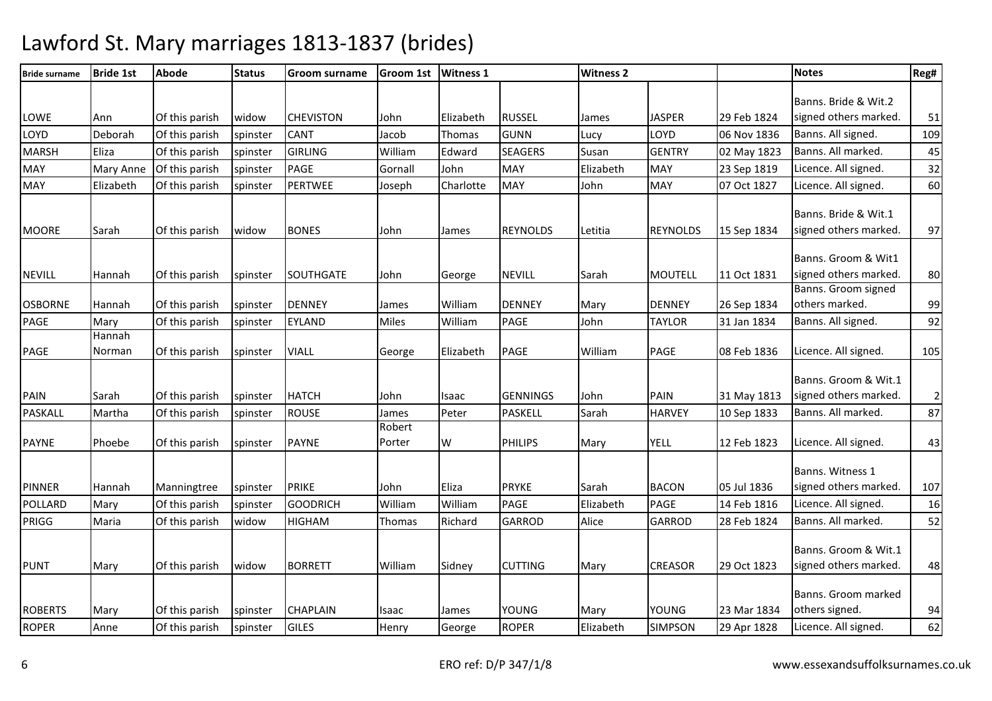| <b>Bride surname</b> | <b>Bride 1st</b> | Abode          | <b>Status</b> | <b>Groom surname</b> | <b>Groom 1st</b> | <b>Witness 1</b> |                 | <b>Witness 2</b> |                 |             | <b>Notes</b>          | Reg#           |
|----------------------|------------------|----------------|---------------|----------------------|------------------|------------------|-----------------|------------------|-----------------|-------------|-----------------------|----------------|
|                      |                  |                |               |                      |                  |                  |                 |                  |                 |             | Banns. Bride & Wit.2  |                |
| LOWE                 | Ann              | Of this parish | widow         | <b>CHEVISTON</b>     | John             | Elizabeth        | <b>RUSSEL</b>   | James            | <b>JASPER</b>   | 29 Feb 1824 | signed others marked. | 51             |
| LOYD                 | Deborah          | Of this parish | spinster      | CANT                 | Jacob            | Thomas           | <b>GUNN</b>     | Lucy             | LOYD            | 06 Nov 1836 | Banns. All signed.    | 109            |
| <b>MARSH</b>         | Eliza            | Of this parish | spinster      | <b>GIRLING</b>       | William          | Edward           | <b>SEAGERS</b>  | Susan            | <b>GENTRY</b>   | 02 May 1823 | Banns. All marked.    | 45             |
| <b>MAY</b>           | <b>Mary Anne</b> | Of this parish | spinster      | <b>PAGE</b>          | Gornall          | John             | <b>MAY</b>      | Elizabeth        | <b>MAY</b>      | 23 Sep 1819 | Licence. All signed.  | 32             |
| <b>MAY</b>           | Elizabeth        | Of this parish | spinster      | PERTWEE              | Joseph           | Charlotte        | <b>MAY</b>      | John             | <b>MAY</b>      | 07 Oct 1827 | Licence. All signed.  | 60             |
|                      |                  |                |               |                      |                  |                  |                 |                  |                 |             |                       |                |
|                      |                  |                |               |                      |                  |                  |                 |                  |                 |             | Banns. Bride & Wit.1  |                |
| <b>MOORE</b>         | Sarah            | Of this parish | widow         | <b>BONES</b>         | John             | James            | <b>REYNOLDS</b> | Letitia          | <b>REYNOLDS</b> | 15 Sep 1834 | signed others marked. | 97             |
|                      |                  |                |               |                      |                  |                  |                 |                  |                 |             | Banns. Groom & Wit1   |                |
| <b>NEVILL</b>        | Hannah           | Of this parish |               | <b>SOUTHGATE</b>     | John             | George           | <b>NEVILL</b>   | Sarah            | <b>MOUTELL</b>  | 11 Oct 1831 | signed others marked. | 80             |
|                      |                  |                | spinster      |                      |                  |                  |                 |                  |                 |             | Banns. Groom signed   |                |
| <b>OSBORNE</b>       | Hannah           | Of this parish | spinster      | <b>DENNEY</b>        | James            | William          | <b>DENNEY</b>   | Mary             | <b>DENNEY</b>   | 26 Sep 1834 | others marked.        | 99             |
| PAGE                 | Mary             | Of this parish | spinster      | <b>EYLAND</b>        | <b>Miles</b>     | William          | <b>PAGE</b>     | John             | <b>TAYLOR</b>   | 31 Jan 1834 | Banns. All signed.    | 92             |
|                      | Hannah           |                |               |                      |                  |                  |                 |                  |                 |             |                       |                |
| PAGE                 | Norman           | Of this parish | spinster      | <b>VIALL</b>         | George           | Elizabeth        | <b>PAGE</b>     | William          | <b>PAGE</b>     | 08 Feb 1836 | Licence. All signed.  | 105            |
|                      |                  |                |               |                      |                  |                  |                 |                  |                 |             |                       |                |
|                      |                  |                |               |                      |                  |                  |                 |                  |                 |             | Banns. Groom & Wit.1  |                |
| <b>PAIN</b>          | Sarah            | Of this parish | spinster      | <b>HATCH</b>         | John             | Isaac            | <b>GENNINGS</b> | John             | <b>PAIN</b>     | 31 May 1813 | signed others marked. | $\overline{2}$ |
| PASKALL              | Martha           | Of this parish | spinster      | <b>ROUSE</b>         | James<br>Robert  | Peter            | <b>PASKELL</b>  | Sarah            | <b>HARVEY</b>   | 10 Sep 1833 | Banns. All marked.    | 87             |
| <b>PAYNE</b>         | Phoebe           | Of this parish | spinster      | <b>PAYNE</b>         | Porter           | W                | PHILIPS         | Mary             | <b>YELL</b>     | 12 Feb 1823 | Licence. All signed.  | 43             |
|                      |                  |                |               |                      |                  |                  |                 |                  |                 |             |                       |                |
|                      |                  |                |               |                      |                  |                  |                 |                  |                 |             | Banns. Witness 1      |                |
| <b>PINNER</b>        | Hannah           | Manningtree    | spinster      | <b>PRIKE</b>         | John             | Eliza            | <b>PRYKE</b>    | Sarah            | <b>BACON</b>    | 05 Jul 1836 | signed others marked. | 107            |
| POLLARD              | Mary             | Of this parish | spinster      | <b>GOODRICH</b>      | William          | William          | <b>PAGE</b>     | Elizabeth        | PAGE            | 14 Feb 1816 | Licence. All signed.  | 16             |
| <b>PRIGG</b>         | Maria            | Of this parish | widow         | <b>HIGHAM</b>        | Thomas           | Richard          | <b>GARROD</b>   | Alice            | <b>GARROD</b>   | 28 Feb 1824 | Banns. All marked.    | 52             |
|                      |                  |                |               |                      |                  |                  |                 |                  |                 |             |                       |                |
|                      |                  |                |               |                      |                  |                  |                 |                  |                 |             | Banns. Groom & Wit.1  |                |
| <b>PUNT</b>          | Mary             | Of this parish | widow         | <b>BORRETT</b>       | William          | Sidney           | <b>CUTTING</b>  | Mary             | <b>CREASOR</b>  | 29 Oct 1823 | signed others marked. | 48             |
|                      |                  |                |               |                      |                  |                  |                 |                  |                 |             | Banns. Groom marked   |                |
| <b>ROBERTS</b>       | Mary             | Of this parish | spinster      | <b>CHAPLAIN</b>      | Isaac            | James            | YOUNG           | Mary             | <b>YOUNG</b>    | 23 Mar 1834 | others signed.        | 94             |
| <b>ROPER</b>         | Anne             | Of this parish |               | <b>GILES</b>         |                  |                  | <b>ROPER</b>    | Elizabeth        | <b>SIMPSON</b>  | 29 Apr 1828 | Licence. All signed.  | 62             |
|                      |                  |                | spinster      |                      | Henry            | George           |                 |                  |                 |             |                       |                |